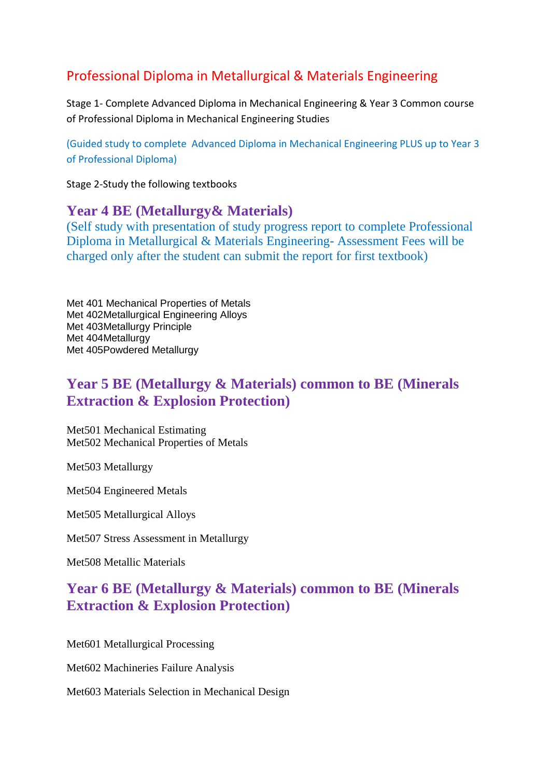# Professional Diploma in Metallurgical & Materials Engineering

Stage 1- Complete Advanced Diploma in Mechanical Engineering & Year 3 Common course of Professional Diploma in Mechanical Engineering Studies

(Guided study to complete Advanced Diploma in Mechanical Engineering PLUS up to Year 3 of Professional Diploma)

Stage 2-Study the following textbooks

#### **Year 4 BE (Metallurgy& Materials)**

(Self study with presentation of study progress report to complete Professional Diploma in Metallurgical & Materials Engineering- Assessment Fees will be charged only after the student can submit the report for first textbook)

Met 401 Mechanical Properties of Metals Met 402Metallurgical Engineering Alloys Met 403Metallurgy Principle Met 404Metallurgy Met 405Powdered Metallurgy

## **Year 5 BE (Metallurgy & Materials) common to BE (Minerals Extraction & Explosion Protection)**

Met501 Mechanical Estimating Met502 Mechanical Properties of Metals

Met503 Metallurgy

Met504 Engineered Metals

Met505 Metallurgical Alloys

Met507 Stress Assessment in Metallurgy

Met508 Metallic Materials

## **Year 6 BE (Metallurgy & Materials) common to BE (Minerals Extraction & Explosion Protection)**

Met601 Metallurgical Processing

Met602 Machineries Failure Analysis

Met603 Materials Selection in Mechanical Design